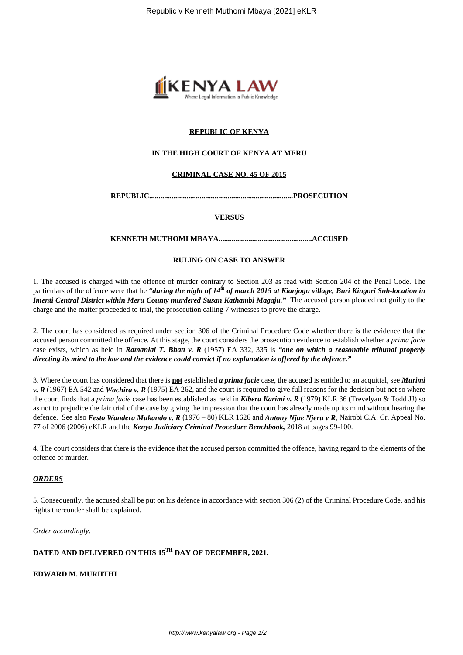

## **REPUBLIC OF KENYA**

#### **IN THE HIGH COURT OF KENYA AT MERU**

#### **CRIMINAL CASE NO. 45 OF 2015**

**REPUBLIC.............................................................................PROSECUTION**

**VERSUS**

**KENNETH MUTHOMI MBAYA..................................................ACCUSED**

#### **RULING ON CASE TO ANSWER**

1. The accused is charged with the offence of murder contrary to Section 203 as read with Section 204 of the Penal Code. The particulars of the offence were that he *"during the night of 14th of march 2015 at Kianjogu village, Buri Kingori Sub-location in Imenti Central District within Meru County murdered Susan Kathambi Magaju."* The accused person pleaded not guilty to the charge and the matter proceeded to trial, the prosecution calling 7 witnesses to prove the charge.

2. The court has considered as required under section 306 of the Criminal Procedure Code whether there is the evidence that the accused person committed the offence. At this stage, the court considers the prosecution evidence to establish whether a *prima facie* case exists, which as held in *Ramanlal T. Bhatt v. R* (1957) EA 332, 335 is *"one on which a reasonable tribunal properly directing its mind to the law and the evidence could convict if no explanation is offered by the defence."*

3. Where the court has considered that there is **not** established *a prima facie* case, the accused is entitled to an acquittal, see *Murimi v. R* (1967) EA 542 and *Wachira v. R* (1975) EA 262, and the court is required to give full reasons for the decision but not so where the court finds that a *prima facie* case has been established as held in *Kibera Karimi v. R* (1979) KLR 36 (Trevelyan & Todd JJ) so as not to prejudice the fair trial of the case by giving the impression that the court has already made up its mind without hearing the defence. See also *Festo Wandera Mukando v. R* (1976 – 80) KLR 1626 and *Antony Njue Njeru v R,* Nairobi C.A. Cr. Appeal No. 77 of 2006 (2006) eKLR and the *Kenya Judiciary Criminal Procedure Benchbook,* 2018 at pages 99-100.

4. The court considers that there is the evidence that the accused person committed the offence, having regard to the elements of the offence of murder.

#### *ORDERS*

5. Consequently, the accused shall be put on his defence in accordance with section 306 (2) of the Criminal Procedure Code, and his rights thereunder shall be explained.

*Order accordingly.*

# **DATED AND DELIVERED ON THIS 15TH DAY OF DECEMBER, 2021.**

**EDWARD M. MURIITHI**